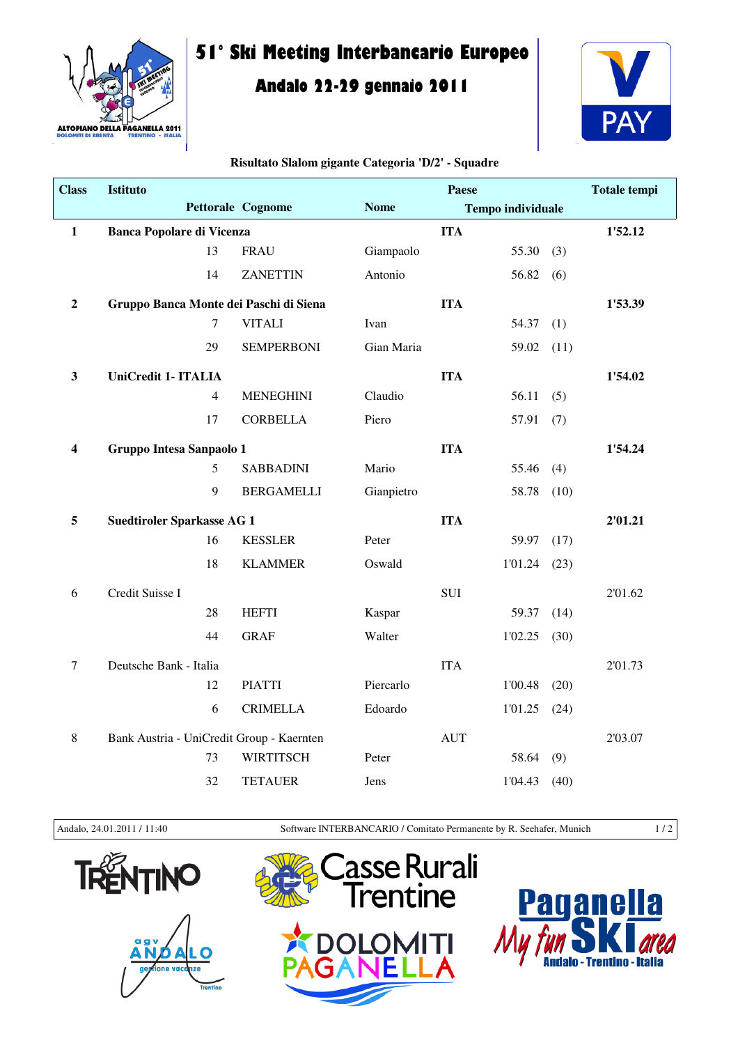

## **51° Ski Meeting Interbancario Europeo**

## **Andalo 22-29 gennaio 2011**



## **Risultato Slalom gigante Categoria 'D/2' - Squadre**

| <b>Class</b>            | <b>Istituto</b>                           |                                   |             | Paese      |                          |      | <b>Totale tempi</b> |
|-------------------------|-------------------------------------------|-----------------------------------|-------------|------------|--------------------------|------|---------------------|
|                         |                                           | <b>Pettorale Cognome</b>          | <b>Nome</b> |            | <b>Tempo individuale</b> |      |                     |
| $\mathbf{1}$            | <b>Banca Popolare di Vicenza</b>          |                                   |             | <b>ITA</b> |                          |      | 1'52.12             |
|                         | 13                                        | <b>FRAU</b>                       | Giampaolo   |            | 55.30                    | (3)  |                     |
|                         | 14                                        | <b>ZANETTIN</b>                   | Antonio     |            | 56.82                    | (6)  |                     |
| $\boldsymbol{2}$        | Gruppo Banca Monte dei Paschi di Siena    |                                   |             | <b>ITA</b> |                          |      | 1'53.39             |
|                         | $\tau$                                    | <b>VITALI</b>                     | Ivan        |            | 54.37                    | (1)  |                     |
|                         | 29                                        | <b>SEMPERBONI</b>                 | Gian Maria  |            | 59.02                    | (11) |                     |
| $\mathbf{3}$            | UniCredit 1- ITALIA                       |                                   |             | <b>ITA</b> |                          |      | 1'54.02             |
|                         | $\overline{4}$                            | <b>MENEGHINI</b>                  | Claudio     |            | 56.11                    | (5)  |                     |
|                         | 17                                        | <b>CORBELLA</b>                   | Piero       |            | 57.91                    | (7)  |                     |
| $\overline{\mathbf{4}}$ | Gruppo Intesa Sanpaolo 1                  |                                   |             | <b>ITA</b> |                          |      | 1'54.24             |
|                         | 5                                         | <b>SABBADINI</b>                  | Mario       |            | 55.46                    | (4)  |                     |
|                         | 9                                         | <b>BERGAMELLI</b>                 | Gianpietro  |            | 58.78                    | (10) |                     |
| 5                       |                                           | <b>Suedtiroler Sparkasse AG 1</b> |             | <b>ITA</b> |                          |      | 2'01.21             |
|                         | 16                                        | <b>KESSLER</b>                    | Peter       |            | 59.97                    | (17) |                     |
|                         | 18                                        | <b>KLAMMER</b>                    | Oswald      |            | 1'01.24                  | (23) |                     |
| 6                       | Credit Suisse I                           |                                   |             | <b>SUI</b> |                          |      | 2'01.62             |
|                         | 28                                        | <b>HEFTI</b>                      | Kaspar      |            | 59.37                    | (14) |                     |
|                         | 44                                        | <b>GRAF</b>                       | Walter      |            | 1'02.25                  | (30) |                     |
| $\boldsymbol{7}$        | Deutsche Bank - Italia                    |                                   |             | <b>ITA</b> |                          |      | 2'01.73             |
|                         | 12                                        | <b>PIATTI</b>                     | Piercarlo   |            | 1'00.48                  | (20) |                     |
|                         | 6                                         | <b>CRIMELLA</b>                   | Edoardo     |            | 1'01.25                  | (24) |                     |
| $8\,$                   | Bank Austria - UniCredit Group - Kaernten |                                   |             | <b>AUT</b> |                          |      | 2'03.07             |
|                         | 73                                        | <b>WIRTITSCH</b>                  | Peter       |            | 58.64                    | (9)  |                     |
|                         | 32                                        | <b>TETAUER</b>                    | Jens        |            | 1'04.43                  | (40) |                     |

Andalo, 24.01.2011 / 11:40 Software INTERBANCARIO / Comitato Permanente by R. Seehafer, Munich 1 / 2